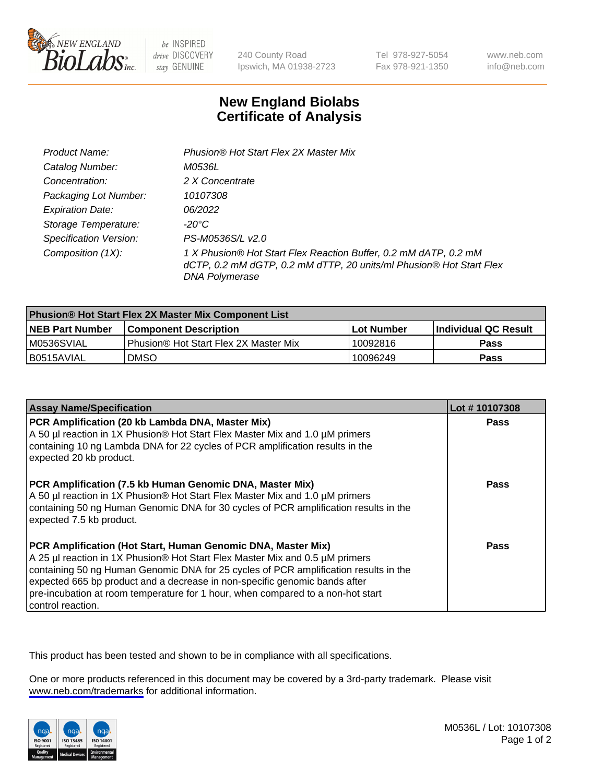

be INSPIRED drive DISCOVERY stay GENUINE

240 County Road Ipswich, MA 01938-2723 Tel 978-927-5054 Fax 978-921-1350

www.neb.com info@neb.com

## **New England Biolabs Certificate of Analysis**

| Product Name:                 | Phusion® Hot Start Flex 2X Master Mix                                                                                                                     |
|-------------------------------|-----------------------------------------------------------------------------------------------------------------------------------------------------------|
| Catalog Number:               | M0536L                                                                                                                                                    |
| Concentration:                | 2 X Concentrate                                                                                                                                           |
| Packaging Lot Number:         | 10107308                                                                                                                                                  |
| <b>Expiration Date:</b>       | 06/2022                                                                                                                                                   |
| Storage Temperature:          | -20°C                                                                                                                                                     |
| <b>Specification Version:</b> | PS-M0536S/L v2.0                                                                                                                                          |
| Composition (1X):             | 1 X Phusion® Hot Start Flex Reaction Buffer, 0.2 mM dATP, 0.2 mM<br>dCTP, 0.2 mM dGTP, 0.2 mM dTTP, 20 units/ml Phusion® Hot Start Flex<br>DNA Polymerase |

| Phusion® Hot Start Flex 2X Master Mix Component List |                                              |            |                      |  |
|------------------------------------------------------|----------------------------------------------|------------|----------------------|--|
| <b>NEB Part Number</b>                               | <b>Component Description</b>                 | Lot Number | Individual QC Result |  |
| M0536SVIAL                                           | <b>Phusion® Hot Start Flex 2X Master Mix</b> | 10092816   | <b>Pass</b>          |  |
| I B0515AVIAL                                         | <b>DMSO</b>                                  | 10096249   | <b>Pass</b>          |  |

| <b>Assay Name/Specification</b>                                                                                                                                                                                                                                                                                                                                                                                            | Lot #10107308 |
|----------------------------------------------------------------------------------------------------------------------------------------------------------------------------------------------------------------------------------------------------------------------------------------------------------------------------------------------------------------------------------------------------------------------------|---------------|
| PCR Amplification (20 kb Lambda DNA, Master Mix)<br>A 50 µl reaction in 1X Phusion® Hot Start Flex Master Mix and 1.0 µM primers<br>containing 10 ng Lambda DNA for 22 cycles of PCR amplification results in the<br>expected 20 kb product.                                                                                                                                                                               | <b>Pass</b>   |
| PCR Amplification (7.5 kb Human Genomic DNA, Master Mix)<br>A 50 µl reaction in 1X Phusion® Hot Start Flex Master Mix and 1.0 µM primers<br>containing 50 ng Human Genomic DNA for 30 cycles of PCR amplification results in the<br>expected 7.5 kb product.                                                                                                                                                               | Pass          |
| PCR Amplification (Hot Start, Human Genomic DNA, Master Mix)<br>A 25 µl reaction in 1X Phusion® Hot Start Flex Master Mix and 0.5 µM primers<br>containing 50 ng Human Genomic DNA for 25 cycles of PCR amplification results in the<br>expected 665 bp product and a decrease in non-specific genomic bands after<br>pre-incubation at room temperature for 1 hour, when compared to a non-hot start<br>control reaction. | Pass          |

This product has been tested and shown to be in compliance with all specifications.

One or more products referenced in this document may be covered by a 3rd-party trademark. Please visit <www.neb.com/trademarks>for additional information.